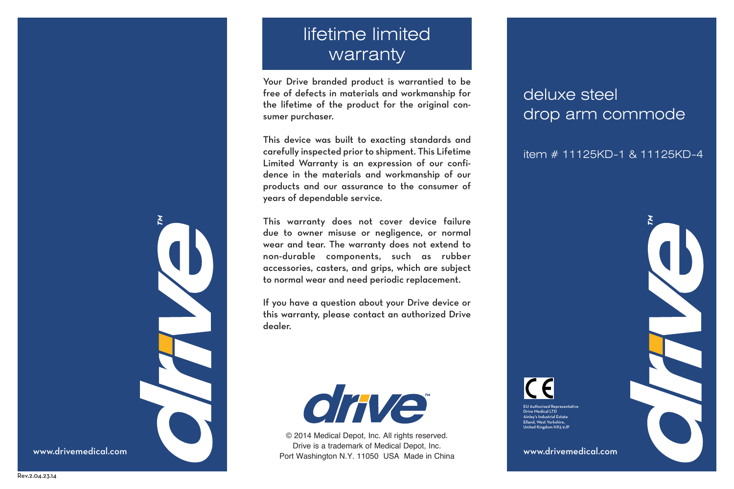# lifetime limited warranty

Your Drive branded product is warrantied to be free of defects in materials and workmanship for the lifetime of the product for the original consumer purchaser.

This device was built to exacting standards and carefully inspected prior to shipment. This Lifetime Limited Warranty is an expression of our confidence in the materials and workmanship of our products and our assurance to the consumer of years of dependable service.

This warranty does not cover device failure due to owner misuse or negligence, or normal wear and tear. The warranty does not extend to non-durable components, such as rubber accessories, casters, and grips, which are subject to normal wear and need periodic replacement.

If you have a question about your Drive device or this warranty, please contact an authorized Drive dealer.



www.drivemedical.com **www.drivemedical.com** Port Washington N.Y. 11050 USA Made in China www.drivemedical.com © 2014 Medical Depot, Inc. All rights reserved. Drive is a trademark of Medical Depot, Inc.

## deluxe steel drop arm commode

item # 11125KD-1 & 11125KD-4

EU Authorized Representative Drive Medical LTD Ainley's Industrial Estate Elland, West Yorkshire, United Kingdom HX5 9JP